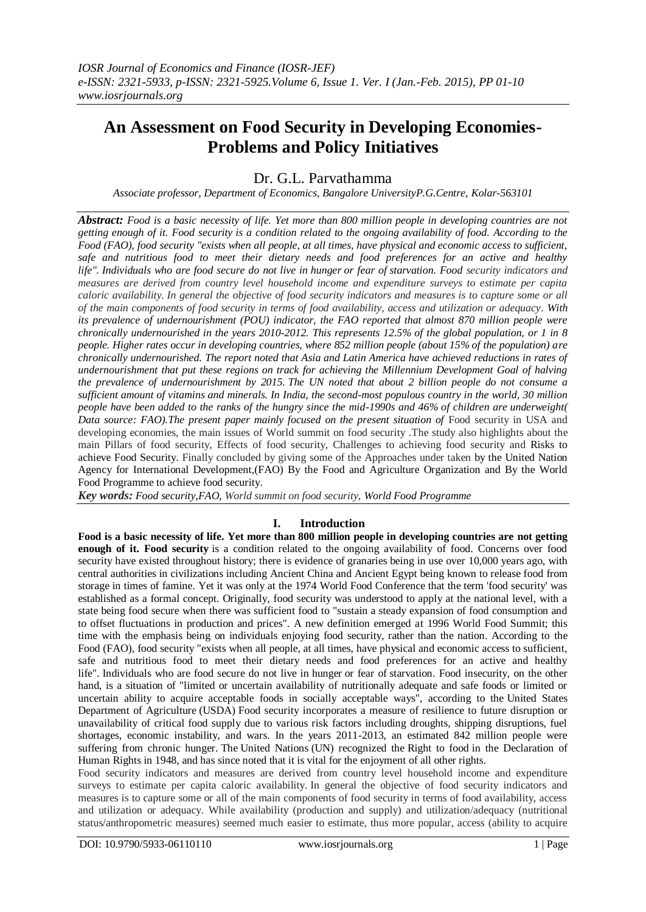# **An Assessment on Food Security in Developing Economies-Problems and Policy Initiatives**

# Dr. G.L. Parvathamma

*Associate professor, Department of Economics, Bangalore UniversityP.G.Centre, Kolar-563101*

*Abstract: Food is a basic necessity of life. Yet more than 800 million people in developing countries are not getting enough of it. Food security is a condition related to the ongoing availability of food. According to the Food (FAO), food security "exists when all people, at all times, have physical and economic access to sufficient, safe and nutritious food to meet their dietary needs and food preferences for an active and healthy life". Individuals who are food secure do not live in [hunger](http://en.wikipedia.org/wiki/Hunger) or fear of starvation. Food security indicators and measures are derived from country level household income and expenditure surveys to estimate per capita caloric availability. In general the objective of food security indicators and measures is to capture some or all of the main components of food security in terms of food availability, access and utilization or adequacy. With its prevalence of undernourishment (POU) indicator, the FAO reported that almost 870 million people were chronically undernourished in the years 2010-2012. This represents 12.5% of the global population, or 1 in 8 people. Higher rates occur in developing countries, where 852 million people (about 15% of the population) are chronically undernourished. The report noted that Asia and Latin America have achieved reductions in rates of undernourishment that put these regions on track for achieving the Millennium Development Goal of halving the prevalence of undernourishment by 2015. The UN noted that about 2 billion people do not consume a sufficient amount of vitamins and minerals. In India, the second-most populous country in the world, 30 million people have been added to the ranks of the hungry since the mid-1990s and 46% of children are [underweight\(](http://en.wikipedia.org/wiki/Underweight) Data source: FAO).The present paper mainly focused on the present situation of Food security in USA and* developing economies, the main issues of World summit on food security .The study also highlights about the main Pillars of food security, Effects of food security, Challenges to achieving food security and Risks to achieve Food Security. Finally concluded by giving some of the Approaches under taken by the United Nation Agency for International Development,(FAO) By the Food and Agriculture Organization and By the World Food Programme to achieve food security.

*Key words: Food security,FAO, World summit on food security, World Food Programme*

## **I. Introduction**

**Food is a basic necessity of life. Yet more than 800 million people in developing countries are not getting enough of it. Food security** is a condition related to the ongoing availability of food. Concerns over food security have existed throughout history; there is evidence of [granaries](http://en.wikipedia.org/wiki/Granary) being in use over 10,000 years ago, with central authorities in civilizations including [Ancient China](http://en.wikipedia.org/wiki/Ancient_China) and [Ancient Egypt](http://en.wikipedia.org/wiki/Ancient_Egypt) being known to release food from storage in times of famine. Yet it was only at the 1974 [World Food Conference](http://en.wikipedia.org/wiki/World_Food_Conference) that the term 'food security' was established as a formal concept. Originally, food security was understood to apply at the national level, with a state being food secure when there was sufficient food to "sustain a steady expansion of food consumption and to offset fluctuations in production and prices". A new definition emerged at 1996 World Food Summit; this time with the emphasis being on individuals enjoying food security, rather than the nation. According to the Food (FAO), food security "exists when all people, at all times, have physical and economic access to sufficient, safe and nutritious food to meet their dietary needs and food preferences for an active and healthy life". Individuals who are food secure do not live in [hunger](http://en.wikipedia.org/wiki/Hunger) or fear of [starvation.](http://en.wikipedia.org/wiki/Starvation) Food insecurity, on the other hand, is a situation of "limited or uncertain availability of nutritionally adequate and safe foods or limited or uncertain ability to acquire acceptable foods in socially acceptable ways", according to the [United States](http://en.wikipedia.org/wiki/United_States_Department_of_Agriculture)  [Department of Agriculture](http://en.wikipedia.org/wiki/United_States_Department_of_Agriculture) (USDA) Food security incorporates a measure of resilience to future disruption or unavailability of critical food supply due to various risk factors including droughts, shipping disruptions, fuel shortages, economic instability, and wars. In the years 2011-2013, an estimated 842 million people were suffering from chronic hunger. The [United Nations](http://en.wikipedia.org/wiki/United_Nations) (UN) recognized the [Right to food](http://en.wikipedia.org/wiki/Right_to_food) in the Declaration of Human Rights in 1948, and has since noted that it is vital for the enjoyment of all other rights.

Food security indicators and measures are derived from country level household income and expenditure surveys to estimate per capita caloric availability. In general the objective of food security indicators and measures is to capture some or all of the main components of food security in terms of food availability, access and utilization or adequacy. While availability (production and supply) and utilization/adequacy (nutritional status/anthropometric measures) seemed much easier to estimate, thus more popular, access (ability to acquire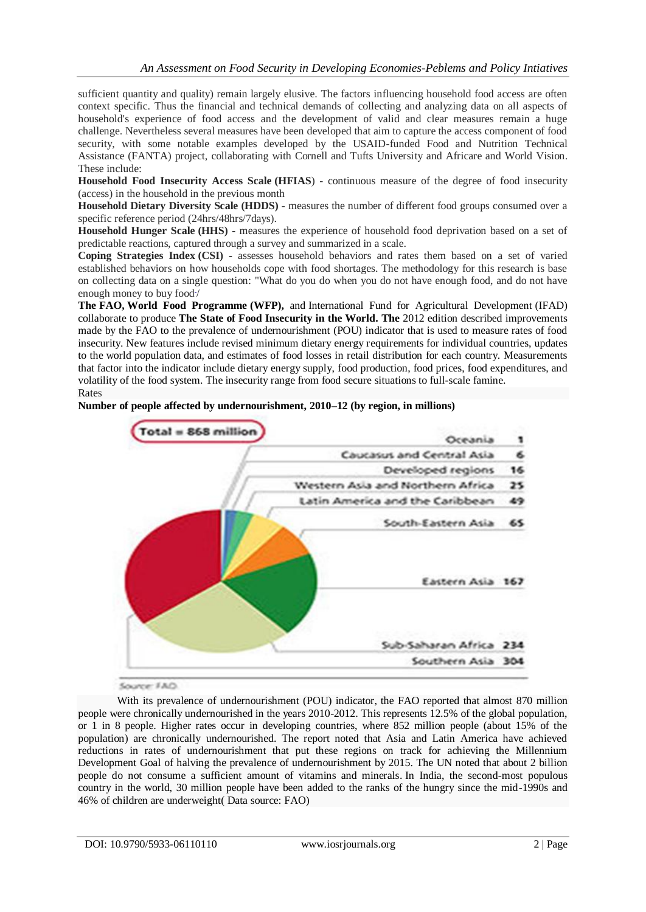sufficient quantity and quality) remain largely elusive. The factors influencing household food access are often context specific. Thus the financial and technical demands of collecting and analyzing data on all aspects of household's experience of food access and the development of valid and clear measures remain a huge challenge. Nevertheless several measures have been developed that aim to capture the access component of food security, with some notable examples developed by the USAID-funded Food and Nutrition Technical Assistance (FANTA) project, collaborating with Cornell and Tufts University and Africare and World Vision. These include:

**Household Food Insecurity Access Scale (HFIAS**) - continuous measure of the degree of food insecurity (access) in the household in the previous month

**Household Dietary Diversity Scale (HDDS)** - measures the number of different food groups consumed over a specific reference period (24hrs/48hrs/7days).

**Household Hunger Scale (HHS) -** measures the experience of household food deprivation based on a set of predictable reactions, captured through a survey and summarized in a scale.

**Coping Strategies Index (CSI) -** assesses household behaviors and rates them based on a set of varied established behaviors on how households cope with food shortages. The methodology for this research is base on collecting data on a single question: "What do you do when you do not have enough food, and do not have enough money to buy food /

**The [FAO,](http://en.wikipedia.org/wiki/FAO) [World Food Programme](http://en.wikipedia.org/wiki/World_Food_Programme) (WFP),** and [International Fund for Agricultural Development](http://en.wikipedia.org/wiki/International_Fund_for_Agricultural_Development) (IFAD) collaborate to produce **The State of Food Insecurity in the World. The** 2012 edition described improvements made by the FAO to the prevalence of undernourishment (POU) indicator that is used to measure rates of food insecurity. New features include revised minimum dietary energy requirements for individual countries, updates to the [world population](http://en.wikipedia.org/wiki/World_population) data, and estimates of food losses in retail distribution for each country. Measurements that factor into the indicator include dietary energy supply, food production, food prices, food expenditures, and volatility of the [food system.](http://en.wikipedia.org/wiki/Food_system) The insecurity range from food secure situations to full-scale [famine.](http://en.wikipedia.org/wiki/Famine) Rates

**Number of people affected by undernourishment, 2010–12 (by region, in millions)**



With its prevalence of undernourishment (POU) indicator, the FAO reported that almost 870 million people were chronically undernourished in the years 2010-2012. This represents 12.5% of the global population, or 1 in 8 people. Higher rates occur in developing countries, where 852 million people (about 15% of the population) are chronically undernourished. The report noted that Asia and Latin America have achieved reductions in rates of undernourishment that put these regions on track for achieving the Millennium Development Goal of halving the prevalence of undernourishment by 2015. The UN noted that about 2 billion people do not consume a sufficient amount of vitamins and minerals. In India, the second-most populous country in the world, 30 million people have been added to the ranks of the hungry since the mid-1990s and 46% of children are [underweight\(](http://en.wikipedia.org/wiki/Underweight) Data source: FAO)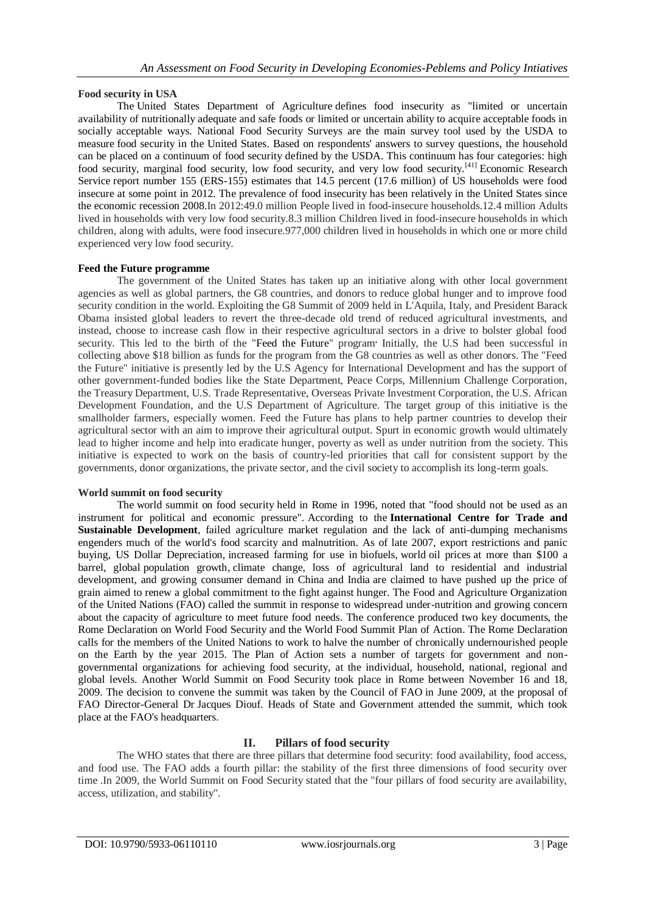## **Food security in USA**

The [United States Department of Agriculture](http://en.wikipedia.org/wiki/United_States_Department_of_Agriculture) defines food insecurity as "limited or uncertain availability of nutritionally adequate and safe foods or limited or uncertain ability to acquire acceptable foods in socially acceptable ways. National Food Security Surveys are the main survey tool used by the USDA to measure [food security in the United States.](http://en.wikipedia.org/wiki/Food_security_in_the_United_States) Based on respondents' answers to survey questions, the household can be placed on a continuum of food security defined by the USDA. This continuum has four categories: high food security, marginal food security, low food security, and very low food security.[\[41\]](http://en.wikipedia.org/wiki/Food_security#cite_note-Measurement_US-41) [Economic Research](http://en.wikipedia.org/wiki/Economic_Research_Service)  [Service](http://en.wikipedia.org/wiki/Economic_Research_Service) report number 155 (ERS-155) estimates that 14.5 percent (17.6 million) of US households were food insecure at some point in 2012. The prevalence of food insecurity has been relatively in the United States since the economic recession 2008.In 2012:49.0 million People lived in food-insecure households.12.4 million Adults lived in households with very low food security.8.3 million Children lived in food-insecure households in which children, along with adults, were food insecure.977,000 children lived in households in which one or more child experienced very low food security.

## **Feed the Future programme**

The government of the United States has taken up an initiative along with other local government agencies as well as global partners, the G8 countries, and donors to reduce global hunger and to improve food security condition in the world. Exploiting the G8 Summit of 2009 held in L'Aquila, Italy, and President Barack Obama insisted global leaders to revert the three-decade old trend of reduced agricultural investments, and instead, choose to increase cash flow in their respective agricultural sectors in a drive to bolster global food security. This led to the birth of the ["Feed the Future"](http://en.wikipedia.org/w/index.php?title=Feed_the_Future&action=edit&redlink=1) program Initially, the U.S had been successful in collecting above \$18 billion as funds for the program from the G8 countries as well as other donors. The "Feed the Future" initiative is presently led by the U.S Agency for International Development and has the support of other government-funded bodies like the State Department, Peace Corps, Millennium Challenge Corporation, the Treasury Department, U.S. Trade Representative, Overseas Private Investment Corporation, the U.S. African Development Foundation, and the U.S Department of Agriculture. The target group of this initiative is the smallholder farmers, especially women. Feed the Future has plans to help partner countries to develop their agricultural sector with an aim to improve their agricultural output. Spurt in economic growth would ultimately lead to higher income and help into eradicate hunger, poverty as well as under nutrition from the society. This initiative is expected to work on the basis of country-led priorities that call for consistent support by the governments, donor organizations, the private sector, and the civil society to accomplish its long-term goals.

## **World summit on food security**

The world summit on food security held in Rome in 1996, noted that "food should not be used as an instrument for political and economic pressure". According to the **International Centre for Trade and Sustainable Development**, failed agriculture market regulation and the lack of anti-dumping mechanisms engenders much of the world's food scarcity and malnutrition. As of late 2007, export restrictions and panic buying, US Dollar Depreciation, increased farming for use in [biofuels,](http://en.wikipedia.org/wiki/Biofuel) world [oil prices](http://en.wikipedia.org/wiki/Oil_prices) at more than \$100 a barrel, global [population growth,](http://en.wikipedia.org/wiki/Population_growth) [climate change,](http://en.wikipedia.org/wiki/Climate_change) loss of agricultural land to residential and industrial development, and growing consumer demand in China and India are claimed to have pushed up the price of grain aimed to renew a global commitment to the fight against hunger. The Food and Agriculture Organization of the United Nations (FAO) called the summit in response to widespread under-nutrition and growing concern about the capacity of agriculture to meet future food needs. The conference produced two key documents, the Rome Declaration on World Food Security and the World Food Summit Plan of Action. The Rome Declaration calls for the members of the United Nations to work to halve the number of chronically undernourished people on the Earth by the year 2015. The Plan of Action sets a number of targets for government and nongovernmental organizations for achieving food security, at the individual, household, national, regional and global levels. Another World Summit on Food Security took place in Rome between November 16 and 18, 2009. The decision to convene the summit was taken by the Council of [FAO](http://en.wikipedia.org/wiki/FAO) in June 2009, at the proposal of FAO Director-General Dr [Jacques Diouf.](http://en.wikipedia.org/wiki/Jacques_Diouf) Heads of State and Government attended the summit, which took place at the FAO's headquarters.

## **II. Pillars of food security**

The WHO states that there are three pillars that determine food security: food availability, food access, and food use. The FAO adds a fourth pillar: the stability of the first three dimensions of food security over time .In 2009, the World Summit on Food Security stated that the "four pillars of food security are availability, access, utilization, and stability".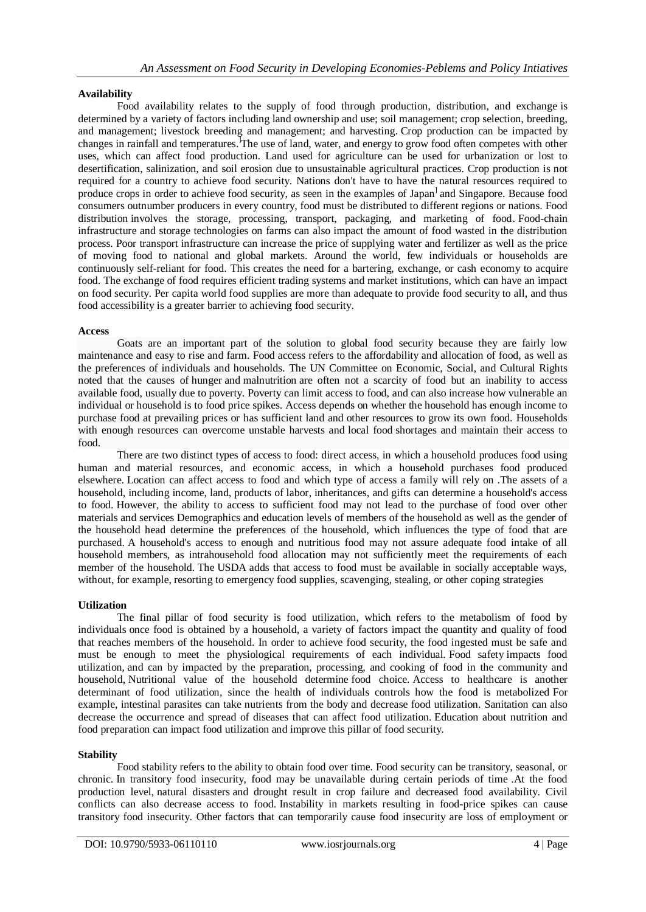## **Availability**

Food availability relates to the supply of food through production, distribution, and exchange is determined by a variety of factors including [land ownership](http://en.wikipedia.org/wiki/Land_ownership) and use; soil management; crop selection, breeding, and management; livestock breeding and management; and harvesting. Crop production can be impacted by changes in rainfall and temperatures. The use of land, water, and energy to grow food often competes with other uses, which can affect food production. Land used for agriculture can be used for urbanization or lost to desertification, salinization, and soil erosion due to unsustainable agricultural practices. Crop production is not required for a country to achieve food security. Nations don't have to have the natural resources required to produce crops in order to achieve food security, as seen in the examples of Japan<sup>1</sup> and Singapore. Because food consumers outnumber producers in every country, food must be distributed to different regions or nations. [Food](http://en.wikipedia.org/wiki/Food_distribution)  [distribution](http://en.wikipedia.org/wiki/Food_distribution) involves the storage, processing, transport, packaging, and marketing of food. Food-chain infrastructure and storage technologies on farms can also impact the amount of food wasted in the distribution process. Poor transport infrastructure can increase the price of supplying water and fertilizer as well as the price of moving food to national and global markets. Around the world, few individuals or households are continuously self-reliant for food. This creates the need for a bartering, exchange, or cash economy to acquire food. The exchange of food requires efficient trading systems and market institutions, which can have an impact on food security. Per capita world food supplies are more than adequate to provide food security to all, and thus food accessibility is a greater barrier to achieving food security.

#### **Access**

Goats are an important part of the solution to global food security because they are fairly low maintenance and easy to rise and farm. Food access refers to the affordability and allocation of food, as well as the preferences of individuals and households. The UN Committee on Economic, Social, and Cultural Rights noted that the causes of [hunger](http://en.wikipedia.org/wiki/Hunger) and [malnutrition](http://en.wikipedia.org/wiki/Malnutrition) are often not a scarcity of food but an inability to access available food, usually due to poverty. Poverty can limit access to food, and can also increase how vulnerable an individual or household is to food price spikes. Access depends on whether the household has enough income to purchase food at prevailing prices or has sufficient land and other resources to grow its own food. Households with enough resources can overcome unstable harvests and [local food](http://en.wikipedia.org/wiki/Local_food) shortages and maintain their access to food.

There are two distinct types of access to food: direct access, in which a household produces food using human and material resources, and economic access, in which a household purchases food produced elsewhere. Location can affect access to food and which type of access a family will rely on .The assets of a household, including income, land, products of labor, inheritances, and gifts can determine a household's access to food. However, the ability to access to sufficient food may not lead to the purchase of food over other materials and services Demographics and education levels of members of the household as well as the gender of the household head determine the preferences of the household, which influences the type of food that are purchased. A household's access to enough and nutritious food may not assure adequate food intake of all household members, as intrahousehold food allocation may not sufficiently meet the requirements of each member of the household. The [USDA](http://en.wikipedia.org/wiki/USDA) adds that access to food must be available in socially acceptable ways, without, for example, resorting to emergency food supplies, scavenging, stealing, or other coping strategies

#### **Utilization**

The final pillar of food security is food utilization, which refers to the metabolism of food by individuals once food is obtained by a household, a variety of factors impact the quantity and quality of food that reaches members of the household. In order to achieve food security, the food ingested must be safe and must be enough to meet the physiological requirements of each individual. [Food safety](http://en.wikipedia.org/wiki/Food_safety) impacts food utilization, and can by impacted by the preparation, processing, and cooking of food in the community and household, Nutritional value of the household determine [food choice.](http://en.wikipedia.org/wiki/Food_choice) Access to healthcare is another determinant of food utilization, since the health of individuals controls how the food is metabolized For example, intestinal parasites can take nutrients from the body and decrease food utilization. Sanitation can also decrease the occurrence and spread of diseases that can affect food utilization. Education about nutrition and food preparation can impact food utilization and improve this pillar of food security.

#### **Stability**

Food stability refers to the ability to obtain food over time. Food security can be transitory, seasonal, or chronic. In transitory food insecurity, food may be unavailable during certain periods of time .At the food production level, [natural disasters](http://en.wikipedia.org/wiki/Natural_disasters) and drought result in crop failure and decreased food availability. Civil conflicts can also decrease access to food. Instability in markets resulting in food-price spikes can cause transitory food insecurity. Other factors that can temporarily cause food insecurity are loss of employment or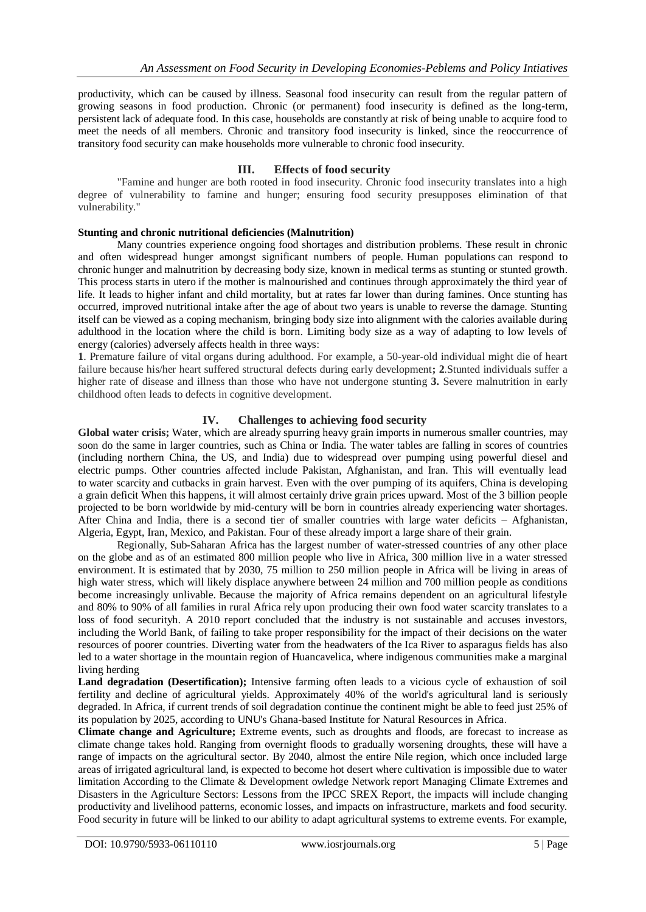productivity, which can be caused by illness. Seasonal food insecurity can result from the regular pattern of growing seasons in food production. Chronic (or permanent) food insecurity is defined as the long-term, persistent lack of adequate food. In this case, households are constantly at risk of being unable to acquire food to meet the needs of all members. Chronic and transitory food insecurity is linked, since the reoccurrence of transitory food security can make households more vulnerable to chronic food insecurity.

## **III. Effects of food security**

"Famine and hunger are both rooted in food insecurity. Chronic food insecurity translates into a high degree of vulnerability to famine and hunger; ensuring food security presupposes elimination of that vulnerability."

#### **Stunting and chronic nutritional deficiencies [\(Malnutrition\)](http://en.wikipedia.org/wiki/Malnutrition)**

Many countries experience ongoing food shortages and distribution problems. These result in chronic and often widespread hunger amongst significant numbers of people. [Human populations](http://en.wikipedia.org/wiki/Human_population) can respond to chronic [hunger](http://en.wikipedia.org/wiki/Hunger) and [malnutrition](http://en.wikipedia.org/wiki/Malnutrition) by decreasing body size, known in medical terms as [stunting](http://en.wikipedia.org/wiki/Stunted_growth) or stunted growth. This process starts in utero if the mother is malnourished and continues through approximately the third year of life. It leads to higher infant and child mortality, but at rates far lower than during famines. Once stunting has occurred, improved nutritional intake after the age of about two years is unable to reverse the damage. Stunting itself can be viewed as a coping mechanism, bringing body size into alignment with the calories available during adulthood in the location where the child is born. Limiting body size as a way of adapting to low levels of energy (calories) adversely affects health in three ways:

**1**. Premature failure of vital organs during adulthood. For example, a 50-year-old individual might die of heart failure because his/her heart suffered structural defects during early development**; 2**.Stunted individuals suffer a higher rate of disease and illness than those who have not undergone stunting **3.** Severe malnutrition in early childhood often leads to defects in cognitive development.

## **IV. Challenges to achieving food security**

**Global water crisis;** Water, which are already spurring heavy grain imports in numerous smaller countries, may soon do the same in larger countries, such as China or India. The [water tables](http://en.wikipedia.org/wiki/Water_table) are falling in scores of countries (including northern China, the US, and India) due to widespread over pumping using powerful diesel and electric pumps. Other countries affected include Pakistan, Afghanistan, and Iran. This will eventually lead to [water scarcity](http://en.wikipedia.org/wiki/Water_scarcity) and cutbacks in grain harvest. Even with the over pumping of its [aquifers,](http://en.wikipedia.org/wiki/Aquifers) China is developing a grain deficit When this happens, it will almost certainly drive grain prices upward. Most of the 3 billion people projected to be born worldwide by mid-century will be born in countries already experiencing [water shortages.](http://en.wikipedia.org/wiki/Water_shortages) After China and India, there is a second tier of smaller countries with large water deficits – Afghanistan, Algeria, Egypt, Iran, Mexico, and Pakistan. Four of these already import a large share of their grain.

Regionally, [Sub-Saharan Africa](http://en.wikipedia.org/wiki/Water_scarcity_in_Africa) has the largest number of water-stressed countries of any other place on the globe and as of an estimated 800 million people who live in Africa, 300 million live in a water stressed environment. It is estimated that by 2030, 75 million to 250 million people in [Africa](http://en.wikipedia.org/wiki/Water_scarcity_in_Africa) will be living in areas of high water stress, which will likely displace anywhere between 24 million and 700 million people as conditions become increasingly unlivable. Because the majority of Africa remains dependent on an agricultural lifestyle and 80% to 90% of all families in rural Africa rely upon producing their own food water scarcity translates to a loss of food securityh. A 2010 report concluded that the industry is not sustainable and accuses investors, including the World Bank, of failing to take proper responsibility for the impact of their decisions on the water resources of poorer countries. Diverting water from the headwaters of the [Ica](http://en.wikipedia.org/wiki/Ica_River) River to asparagus fields has also led to a water shortage in the mountain region of Huancavelica, where indigenous communities make a marginal living herding

**Land degradation [\(Desertification\)](http://en.wikipedia.org/wiki/Desertification);** Intensive farming often leads to a vicious cycle of exhaustion of soil fertility and decline of agricultural yields. Approximately 40% of the world's agricultural land is seriously degraded. In Africa, if current trends of soil degradation continue the continent might be able to feed just 25% of its population by 2025, according to [UNU's](http://en.wikipedia.org/wiki/United_Nations_University) Ghana-based Institute for Natural Resources in Africa.

**Climate change and Agriculture;** Extreme events, such as droughts and floods, are forecast to increase as climate change takes hold. Ranging from overnight floods to gradually worsening droughts, these will have a range of impacts on the agricultural sector. By 2040, almost the entire Nile region, which once included large areas of irrigated agricultural land, is expected to become hot desert where cultivation is impossible due to water limitation According to the [Climate & Development owledge Network](http://en.wikipedia.org/wiki/Climate_%26_Development_Knowledge_Network) report Managing Climate Extremes and Disasters in the Agriculture Sectors: Lessons from the IPCC SREX Report, the impacts will include changing productivity and livelihood patterns, economic losses, and impacts on infrastructure, markets and food security. Food security in future will be linked to our ability to adapt agricultural systems to extreme events. For example,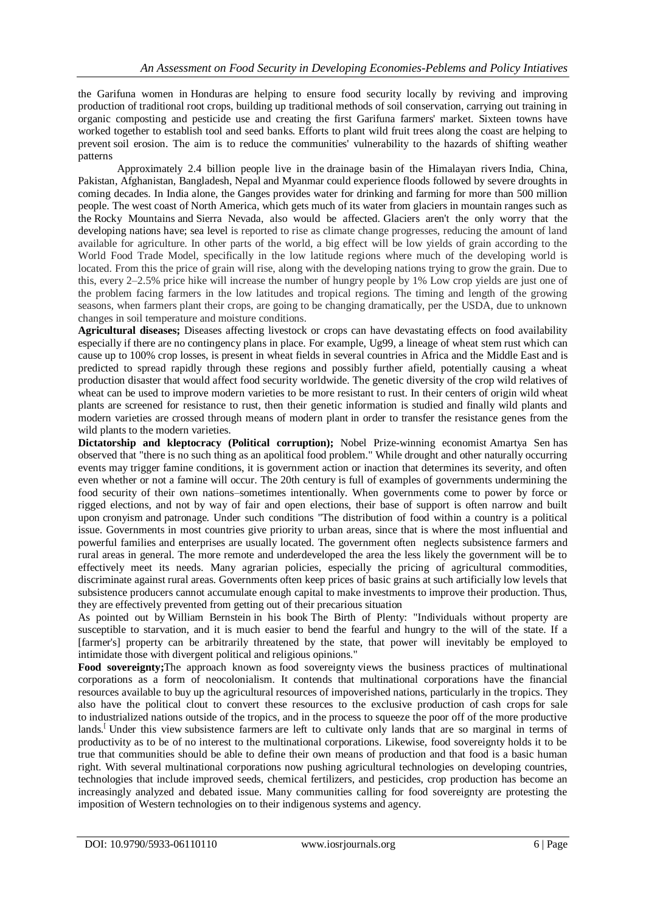the Garifuna women in [Honduras](http://en.wikipedia.org/wiki/Honduras) are helping to ensure food security locally by reviving and improving production of traditional root crops, building up traditional methods of soil conservation, carrying out training in organic composting and pesticide use and creating the first Garifuna farmers' market. Sixteen towns have worked together to establish tool and seed banks. Efforts to plant wild fruit trees along the coast are helping to prevent [soil erosion.](http://en.wikipedia.org/wiki/Soil_erosion) The aim is to reduce the communities' vulnerability to the hazards of shifting weather patterns

Approximately 2.4 billion people live in the [drainage basin](http://en.wikipedia.org/wiki/Drainage_basin) of the Himalayan rivers India, China, Pakistan, Afghanistan, Bangladesh, Nepal and [Myanmar](http://en.wikipedia.org/wiki/Myanmar) could experience floods followed by severe droughts in coming decades. In India alone, the Ganges provides water for drinking and farming for more than 500 million people. The west coast of North America, which gets much of its water from glaciers in mountain ranges such as the [Rocky Mountains](http://en.wikipedia.org/wiki/Rocky_Mountains) and [Sierra Nevada,](http://en.wikipedia.org/wiki/Sierra_Nevada_(U.S.)) also would be affected. Glaciers aren't the only worry that the developing nations have; [sea level](http://en.wikipedia.org/wiki/Sea_level_rise) is reported to rise as climate change progresses, reducing the amount of land available for agriculture. In other parts of the world, a big effect will be low yields of grain according to the World Food Trade Model, specifically in the low latitude regions where much of the developing world is located. From this the price of grain will rise, along with the developing nations trying to grow the grain. Due to this, every 2–2.5% price hike will increase the number of hungry people by 1% Low crop yields are just one of the problem facing farmers in the low latitudes and tropical regions. The timing and length of the growing seasons, when farmers plant their crops, are going to be changing dramatically, per the USDA, due to unknown changes in soil temperature and moisture conditions.

**Agricultural diseases;** Diseases affecting livestock or crops can have devastating effects on food availability especially if there are no contingency plans in place. For example, [Ug99,](http://en.wikipedia.org/wiki/Ug99) a lineage of wheat [stem rust](http://en.wikipedia.org/wiki/Stem_rust) which can cause up to 100% crop losses, is present in wheat fields in several countries in Africa and the [Middle East](http://en.wikipedia.org/wiki/Middle_East) and is predicted to spread rapidly through these regions and possibly further afield, potentially causing a wheat production disaster that would affect food security worldwide. The [genetic diversity](http://en.wikipedia.org/wiki/Genetic_diversity) of the [crop wild relatives](http://en.wikipedia.org/wiki/Crop_wild_relatives) of wheat can be used to improve modern varieties to be more resistant to rust. In their [centers of origin](http://en.wikipedia.org/wiki/Centers_of_origin) wild wheat plants are screened for resistance to rust, then their genetic information is studied and finally wild plants and modern varieties are crossed through means of modern plant in order to transfer the resistance genes from the wild plants to the modern varieties.

**Dictatorship and kleptocracy [\(Political corruption\)](http://en.wikipedia.org/wiki/Political_corruption);** Nobel Prize-winning economist [Amartya Sen](http://en.wikipedia.org/wiki/Amartya_Sen) has observed that "there is no such thing as an apolitical food problem." While drought and other naturally occurring events may trigger famine conditions, it is government action or inaction that determines its severity, and often even whether or not a famine will occur. The 20th century is full of examples of governments undermining the food security of their own nations–sometimes intentionally. When governments come to power by force or rigged elections, and not by way of fair and open elections, their base of support is often narrow and built upon [cronyism](http://en.wikipedia.org/wiki/Cronyism) and [patronage.](http://en.wikipedia.org/wiki/Patronage) Under such conditions "The distribution of food within a country is a political issue. Governments in most countries give priority to urban areas, since that is where the most influential and powerful families and enterprises are usually located. The government often neglects subsistence farmers and rural areas in general. The more remote and underdeveloped the area the less likely the government will be to effectively meet its needs. Many agrarian policies, especially the pricing of agricultural commodities, discriminate against rural areas. Governments often keep prices of basic grains at such artificially low levels that subsistence producers cannot accumulate enough capital to make investments to improve their production. Thus, they are effectively prevented from getting out of their precarious situation

As pointed out by [William Bernstein](http://en.wikipedia.org/wiki/William_Bernstein) in his book The Birth of Plenty: "Individuals without property are susceptible to starvation, and it is much easier to bend the fearful and hungry to the will of the state. If a [farmer's] property can be arbitrarily threatened by the state, that power will inevitably be employed to intimidate those with divergent political and religious opinions."

**Food sovereignty;**The approach known as [food sovereignty](http://en.wikipedia.org/wiki/Food_sovereignty) views the business practices of multinational corporations as a form of neocolonialism. It contends that multinational corporations have the financial resources available to buy up the agricultural resources of impoverished nations, particularly in the tropics. They also have the political clout to convert these resources to the exclusive production of [cash crops](http://en.wikipedia.org/wiki/Cash_crops) for sale to [industrialized nations](http://en.wikipedia.org/wiki/Industrialized_nations) outside of the tropics, and in the process to squeeze the poor off of the more productive lands.<sup>[1</sup> Under this view [subsistence farmers](http://en.wikipedia.org/wiki/Subsistence_farming) are left to cultivate only lands that are so marginal in terms of productivity as to be of no interest to the multinational corporations. Likewise, food sovereignty holds it to be true that communities should be able to define their own means of production and that food is a basic human right. With several multinational corporations now pushing agricultural technologies on developing countries, technologies that include improved seeds, chemical fertilizers, and pesticides, crop production has become an increasingly analyzed and debated issue. Many communities calling for food sovereignty are protesting the imposition of Western technologies on to their indigenous systems and agency.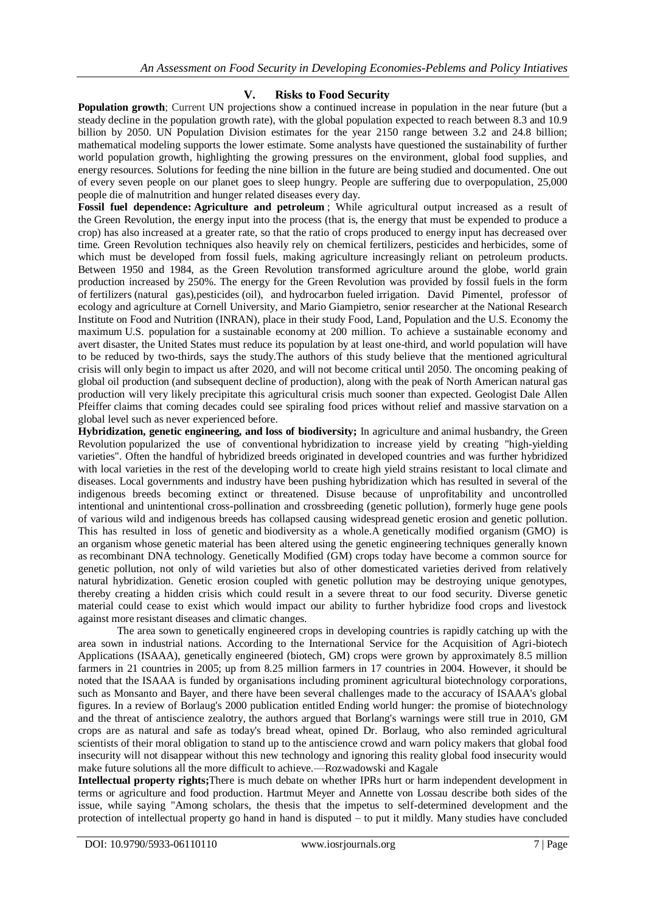## **V. Risks to Food Security**

**Population growth**; Current UN projections show a continued increase in population in the near future (but a steady decline in the population growth rate), with the global population expected to reach between 8.3 and 10.9 billion by 2050. UN Population Division estimates for the year 2150 range between 3.2 and 24.8 billion; mathematical modeling supports the lower estimate. Some analysts have questioned the sustainability of further world population growth, highlighting the growing pressures on the environment, global food supplies, and energy resources. Solutions for feeding the nine billion in the future are being studied and documented. One out of every seven people on our planet goes to sleep hungry. People are suffering due to overpopulation, 25,000 people die of malnutrition and hunger related diseases every day.

**Fossil fuel dependence: [Agriculture and petroleum](http://en.wikipedia.org/wiki/Agriculture#Agriculture_and_petroleum)** ; While agricultural output increased as a result of the [Green Revolution,](http://en.wikipedia.org/wiki/Green_Revolution) the energy input into the process (that is, the energy that must be expended to produce a crop) has also increased at a greater rate, so that the ratio of crops produced to energy input has decreased over time. Green Revolution techniques also heavily rely on chemical [fertilizers,](http://en.wikipedia.org/wiki/Fertilizers) pesticides and [herbicides,](http://en.wikipedia.org/wiki/Herbicides) some of which must be developed from fossil fuels, making agriculture increasingly reliant on petroleum products. Between 1950 and 1984, as the Green Revolution transformed agriculture around the globe, world grain production increased by 250%. The energy for the Green Revolution was provided by [fossil](http://en.wikipedia.org/wiki/Fossil_fuels) fuels in the form of [fertilizers](http://en.wikipedia.org/wiki/Fertilizers) (natural gas)[,pesticides](http://en.wikipedia.org/wiki/Pesticides) (oil), and [hydrocarbon](http://en.wikipedia.org/wiki/Hydrocarbon) fueled irrigation. David Pimentel, professor of ecology and agriculture at [Cornell University,](http://en.wikipedia.org/wiki/Cornell_University) and Mario Giampietro, senior researcher at the National Research Institute on Food and Nutrition (INRAN), place in their study Food, Land, Population and the U.S. Economy the maximum [U.S. population](http://en.wikipedia.org/wiki/U.S._population) for a [sustainable economy](http://en.wikipedia.org/wiki/Sustainability) at 200 million. To achieve a sustainable economy and avert disaster, the United States must reduce its population by at least one-third, and world population will have to be reduced by two-thirds, says the study.The authors of this study believe that the mentioned agricultural crisis will only begin to impact us after 2020, and will not become critical until 2050. The oncoming [peaking of](http://en.wikipedia.org/wiki/Peak_oil)  [global oil](http://en.wikipedia.org/wiki/Peak_oil) production (and subsequent decline of production), along with the peak of North American natural gas production will very likely precipitate this agricultural crisis much sooner than expected. Geologist [Dale Allen](http://en.wikipedia.org/wiki/Dale_Allen_Pfeiffer)  [Pfeiffer](http://en.wikipedia.org/wiki/Dale_Allen_Pfeiffer) claims that coming decades could see spiraling food prices without relief and massive [starvation](http://en.wikipedia.org/wiki/Starvation) on a global level such as never experienced before.

**Hybridization, genetic engineering, and loss of biodiversity;** In agriculture and [animal husbandry,](http://en.wikipedia.org/wiki/Animal_husbandry) the [Green](http://en.wikipedia.org/wiki/Green_Revolution)  [Revolution](http://en.wikipedia.org/wiki/Green_Revolution) popularized the use of conventional [hybridization](http://en.wikipedia.org/wiki/Hybrid_(biology)) to increase yield by creating ["high-yielding](http://en.wikipedia.org/w/index.php?title=High-yielding_varieties&action=edit&redlink=1)  [varieties"](http://en.wikipedia.org/w/index.php?title=High-yielding_varieties&action=edit&redlink=1). Often the handful of hybridized breeds originated in developed countries and was further hybridized with local varieties in the rest of the developing world to create high yield strains resistant to local climate and diseases. Local governments and industry have been pushing hybridization which has resulted in several of the indigenous breeds becoming extinct or threatened. Disuse because of unprofitability and uncontrolled intentional and unintentional cross-pollination and crossbreeding [\(genetic pollution\)](http://en.wikipedia.org/wiki/Genetic_pollution), formerly huge gene pools of various wild and indigenous breeds has collapsed causing widespread [genetic erosion](http://en.wikipedia.org/wiki/Genetic_erosion) and genetic pollution. This has resulted in loss of genetic and [biodiversity](http://en.wikipedia.org/wiki/Biodiversity) as a whole.A [genetically modified organism](http://en.wikipedia.org/wiki/Genetically_modified_organism) (GMO) is an [organism](http://en.wikipedia.org/wiki/Organism) whose [genetic](http://en.wikipedia.org/wiki/Gene) material has been altered using the [genetic engineering](http://en.wikipedia.org/wiki/Genetic_engineering) techniques generally known as [recombinant DNA technology.](http://en.wikipedia.org/wiki/Recombinant_DNA_technology) Genetically Modified (GM) crops today have become a common source for genetic pollution, not only of wild varieties but also of other domesticated varieties derived from relatively natural hybridization. Genetic erosion coupled with genetic pollution may be destroying unique genotypes, thereby creating a hidden crisis which could result in a severe threat to our food security. Diverse genetic material could cease to exist which would impact our ability to further hybridize food crops and livestock against more resistant diseases and climatic changes.

The area sown to genetically engineered crops in developing countries is rapidly catching up with the area sown in industrial nations. According to the International Service for the Acquisition of Agri-biotech Applications (ISAAA), genetically engineered (biotech, GM) crops were grown by approximately 8.5 million farmers in 21 countries in 2005; up from 8.25 million farmers in 17 countries in 2004. However, it should be noted that the ISAAA is funded by organisations including prominent agricultural biotechnology corporations, such as Monsanto and Bayer, and there have been several challenges made to the accuracy of ISAAA's global figures. In a review of Borlaug's 2000 publication entitled Ending world hunger: the promise of biotechnology and the threat of antiscience zealotry, the authors argued that Borlang's warnings were still true in 2010, GM crops are as natural and safe as today's bread wheat, opined Dr. Borlaug, who also reminded agricultural scientists of their moral obligation to stand up to the antiscience crowd and warn policy makers that global food insecurity will not disappear without this new technology and ignoring this reality global food insecurity would make future solutions all the more difficult to achieve.—Rozwadowski and Kagale

**Intellectual property rights;**There is much debate on whether IPRs hurt or harm independent development in terms or agriculture and food production. Hartmut Meyer and Annette von Lossau describe both sides of the issue, while saying "Among scholars, the thesis that the impetus to self-determined development and the protection of intellectual property go hand in hand is disputed – to put it mildly. Many studies have concluded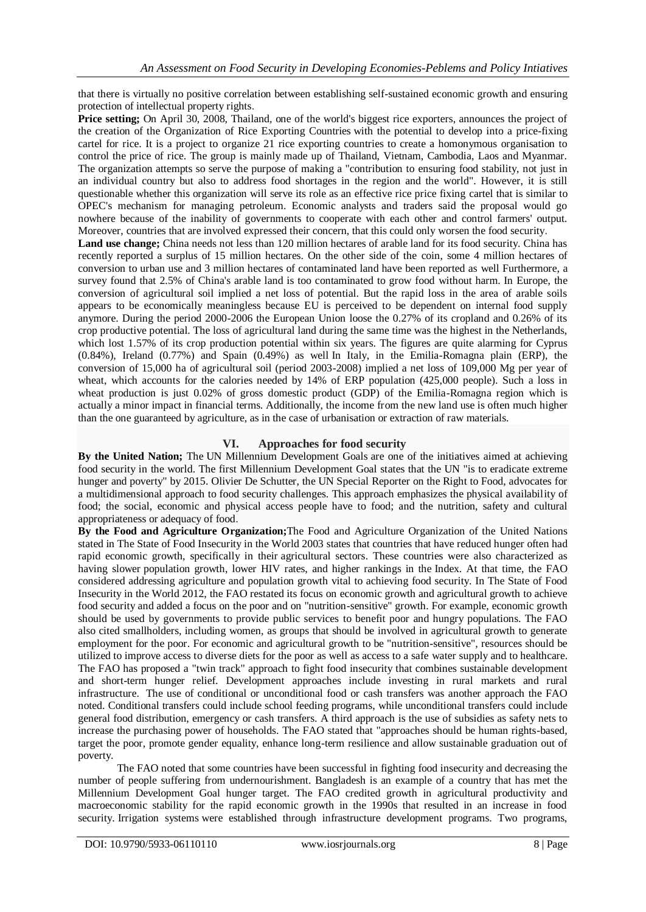that there is virtually no positive correlation between establishing self-sustained economic growth and ensuring protection of intellectual property rights.

**Price setting;** On April 30, 2008, Thailand, one of the world's biggest rice exporters, announces the project of the creation of the Organization [of Rice Exporting Countries](http://en.wikipedia.org/wiki/Organisation_of_Rice_Exporting_Countries) with the potential to develop into a price-fixing cartel for rice. It is a project to organize 21 rice exporting countries to create a homonymous organisation to control the price of rice. The group is mainly made up of Thailand, Vietnam, Cambodia, Laos and Myanmar. The organization attempts so serve the purpose of making a "contribution to ensuring food stability, not just in an individual country but also to address food shortages in the region and the world". However, it is still questionable whether this organization will serve its role as an effective rice price fixing cartel that is similar to OPEC's mechanism for managing petroleum. Economic analysts and traders said the proposal would go nowhere because of the inability of governments to cooperate with each other and control farmers' output. Moreover, countries that are involved expressed their concern, that this could only worsen the food security.

**Land use change;** China needs not less than 120 million hectares of arable land for its food security. China has recently reported a surplus of 15 million hectares. On the other side of the coin, some 4 million hectares of conversion to urban use and 3 million hectares of contaminated land have been reported as well Furthermore, a survey found that 2.5% of China's arable land is too contaminated to grow food without harm. In Europe, the conversion of agricultural soil implied a net loss of potential. But the rapid loss in the area of arable soils appears to be economically meaningless because EU is perceived to be dependent on internal food supply anymore. During the period 2000-2006 the European Union loose the 0.27% of its cropland and 0.26% of its crop productive potential. The loss of agricultural land during the same time was the highest in the Netherlands, which lost 1.57% of its crop production potential within six years. The figures are quite alarming for Cyprus (0.84%), Ireland (0.77%) and Spain (0.49%) as well In Italy, in the Emilia-Romagna plain (ERP), the conversion of 15,000 ha of agricultural soil (period 2003-2008) implied a net loss of 109,000 Mg per year of wheat, which accounts for the calories needed by 14% of ERP population (425,000 people). Such a loss in wheat production is just 0.02% of gross domestic product (GDP) of the Emilia-Romagna region which is actually a minor impact in financial terms. Additionally, the income from the new land use is often much higher than the one guaranteed by agriculture, as in the case of urbanisation or extraction of raw materials.

## **VI. Approaches for food security**

**By the United Nation;** The [UN Millennium Development Goals](http://en.wikipedia.org/wiki/UN_Millennium_Development_Goals) are one of the initiatives aimed at achieving food security in the world. The first Millennium Development Goal states that the UN "is to eradicate extreme hunger and poverty" by 2015. Olivier De Schutter, the UN Special Reporter on the Right to Food, advocates for a multidimensional approach to food security challenges. This approach emphasizes the physical availability of food; the social, economic and physical access people have to food; and the nutrition, safety and cultural appropriateness or adequacy of food.

**By the Food and Agriculture Organization;**The Food and Agriculture Organization of the United Nations stated in The State of Food Insecurity in the World 2003 states that countries that have reduced hunger often had rapid economic growth, specifically in their [agricultural sectors.](http://en.wikipedia.org/wiki/Agriculture) These countries were also characterized as having slower [population growth,](http://en.wikipedia.org/wiki/Population_growth) lower HIV rates, and higher rankings in the Index. At that time, the FAO considered addressing agriculture and population growth vital to achieving food security. In The State of Food Insecurity in the World 2012, the FAO restated its focus on [economic growth](http://en.wikipedia.org/wiki/Economic_growth) and agricultural growth to achieve food security and added a focus on the poor and on "nutrition-sensitive" growth. For example, economic growth should be used by governments to provide public services to benefit poor and hungry populations. The FAO also cited smallholders, including women, as groups that should be involved in agricultural growth to generate employment for the poor. For economic and agricultural growth to be "nutrition-sensitive", resources should be utilized to improve access to diverse diets for the poor as well as access to a safe [water supply](http://en.wikipedia.org/wiki/Water_supply) and to healthcare. The FAO has proposed a "twin track" approach to fight food insecurity that combines sustainable development and short-term hunger relief. Development approaches include investing in rural markets and rural infrastructure. The use of conditional or unconditional food or cash transfers was another approach the FAO noted. Conditional transfers could include [school feeding programs,](http://en.wikipedia.org/wiki/School_feeding_in_low-income_countries) while unconditional transfers could include general food distribution, emergency or cash transfers. A third approach is the use of [subsidies](http://en.wikipedia.org/wiki/Subsidy) as safety nets to increase the purchasing power of households. The FAO stated that "approaches should be human rights-based, target the poor, promote gender equality, enhance long-term resilience and allow sustainable graduation out of poverty.

The FAO noted that some countries have been successful in fighting food insecurity and decreasing the number of people suffering from undernourishment. Bangladesh is an example of a country that has met the Millennium Development Goal hunger target. The FAO credited growth in agricultural productivity and macroeconomic stability for the rapid economic growth in the 1990s that resulted in an increase in food security. [Irrigation systems](http://en.wikipedia.org/wiki/Irrigation_systems) were established through infrastructure development programs. Two programs,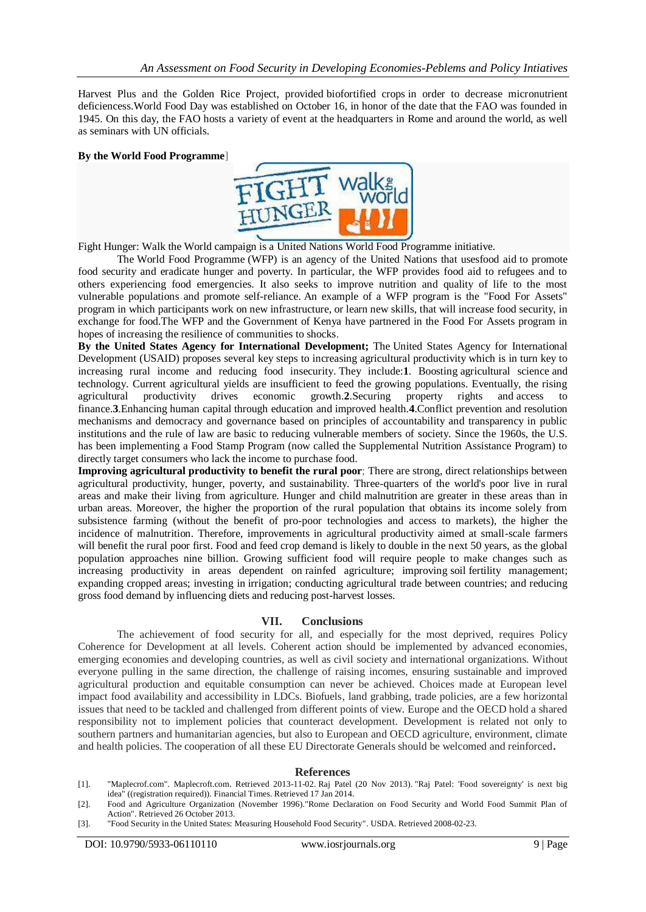Harvest Plus and the Golden Rice Project, provided [biofortified crops](http://en.wikipedia.org/wiki/Biofortification) in order to decrease micronutrient deficiencess[.World Food Day](http://en.wikipedia.org/wiki/World_Food_Day) was established on October 16, in honor of the date that the FAO was founded in 1945. On this day, the FAO hosts a variety of event at the headquarters in Rome and around the world, as well as seminars with UN officials.

### **By the World Food Programme**]



Fight Hunger: Walk the World campaign is a United Nations [World Food Programme](http://en.wikipedia.org/wiki/World_Food_Programme) initiative.

The [World Food Programme](http://en.wikipedia.org/wiki/World_Food_Programme) (WFP) is an agency of the United Nations that use[sfood aid](http://en.wikipedia.org/wiki/Food_aid) to promote food security and eradicate hunger and poverty. In particular, the WFP provides food aid to refugees and to others experiencing food emergencies. It also seeks to improve nutrition and quality of life to the most vulnerable populations and promote self-reliance. An example of a WFP program is the "Food For Assets" program in which participants work on new infrastructure, or learn new skills, that will increase food security, in exchange for food.The WFP and the Government of Kenya have partnered in the Food For Assets program in hopes of increasing the resilience of communities to shocks.

**By the United States Agency for International Development;** The [United States Agency for International](http://en.wikipedia.org/wiki/United_States_Agency_for_International_Development)  [Development](http://en.wikipedia.org/wiki/United_States_Agency_for_International_Development) (USAID) proposes several key steps to increasing [agricultural productivity](http://en.wikipedia.org/wiki/Agricultural_productivity) which is in turn key to increasing rural income and reducing food insecurity. They include:**1**. Boosting [agricultural science](http://en.wikipedia.org/wiki/Agricultural_science) and technology. Current agricultural yields are insufficient to feed the growing populations. Eventually, the rising agricultural productivity drives economic growth.**2**.Securing property rights and [access to](http://en.wikipedia.org/wiki/Access_to_finance)  [finance.](http://en.wikipedia.org/wiki/Access_to_finance)**3**.Enhancing [human capital](http://en.wikipedia.org/wiki/Human_capital) through education and improved health.**4**.Conflict prevention and resolution mechanisms and democracy and governance based on principles of accountability and transparency in public institutions and the rule of law are basic to reducing vulnerable members of society. Since the 1960s, the U.S. has been implementing a Food Stamp Program (now called the Supplemental Nutrition Assistance Program) to directly target consumers who lack the income to purchase food.

**Improving agricultural productivity to benefit the rural poor**; There are strong, direct relationships between agricultural productivity, hunger, poverty, and sustainability. Three-quarters of the world's poor live in rural areas and make their living from agriculture. Hunger and child [malnutrition](http://en.wikipedia.org/wiki/Malnutrition) are greater in these areas than in urban areas. Moreover, the higher the proportion of the rural population that obtains its income solely from subsistence farming (without the benefit of pro-poor technologies and access to markets), the higher the incidence of malnutrition. Therefore, improvements in agricultural productivity aimed at small-scale farmers will benefit the rural poor first. Food and feed crop demand is likely to double in the next 50 years, as the global population approaches nine billion. Growing sufficient food will require people to make changes such as increasing productivity in areas dependent on [rainfed agriculture;](http://en.wikipedia.org/wiki/Rainfed_agriculture) improving [soil](http://en.wikipedia.org/wiki/Soil) fertility management; expanding cropped areas; investing in [irrigation;](http://en.wikipedia.org/wiki/Irrigation) conducting agricultural trade between countries; and reducing gross food demand by influencing diets and reducing post-harvest losses.

## **VII. Conclusions**

The achievement of food security for all, and especially for the most deprived, requires Policy Coherence for Development at all levels. Coherent action should be implemented by advanced economies, emerging economies and developing countries, as well as civil society and international organizations. Without everyone pulling in the same direction, the challenge of raising incomes, ensuring sustainable and improved agricultural production and equitable consumption can never be achieved. Choices made at European level impact food availability and accessibility in LDCs. Biofuels, land grabbing, trade policies, are a few horizontal issues that need to be tackled and challenged from different points of view. Europe and the OECD hold a shared responsibility not to implement policies that counteract development. Development is related not only to southern partners and humanitarian agencies, but also to European and OECD agriculture, environment, climate and health policies. The cooperation of all these EU Directorate Generals should be welcomed and reinforced**.**

#### **References**

[1]. ["Maplecrof.com".](http://maplecroft.com/about/news/food-security.html) Maplecroft.com. Retrieved 2013-11-02. Raj Patel (20 Nov 2013). ["Raj Patel: 'Food sovereignty'](http://www.ft.com/cms/s/0/584ed992-4216-11e3-9d3c-00144feabdc0.html) is next big [idea"](http://www.ft.com/cms/s/0/584ed992-4216-11e3-9d3c-00144feabdc0.html) ([\(registration required\)](http://en.wikipedia.org/wiki/Wikipedia:Verifiability#Access_to_sources)). [Financial Times.](http://en.wikipedia.org/wiki/Financial_Times) Retrieved 17 Jan 2014.

[2]. Food and Agriculture Organization (November 1996[\)."Rome Declaration on Food Security and World Food Summit Plan of](http://www.fao.org/docrep/003/w3613e/w3613e00.htm)  [Action".](http://www.fao.org/docrep/003/w3613e/w3613e00.htm) Retrieved 26 October 2013.

<sup>[3].</sup> ["Food Security in the United States: Measuring Household Food Security".](http://en.wikipedia.org/wiki/Food_security#cite_ref-autogenerated8_4-0) USDA. Retrieved 2008-02-23.